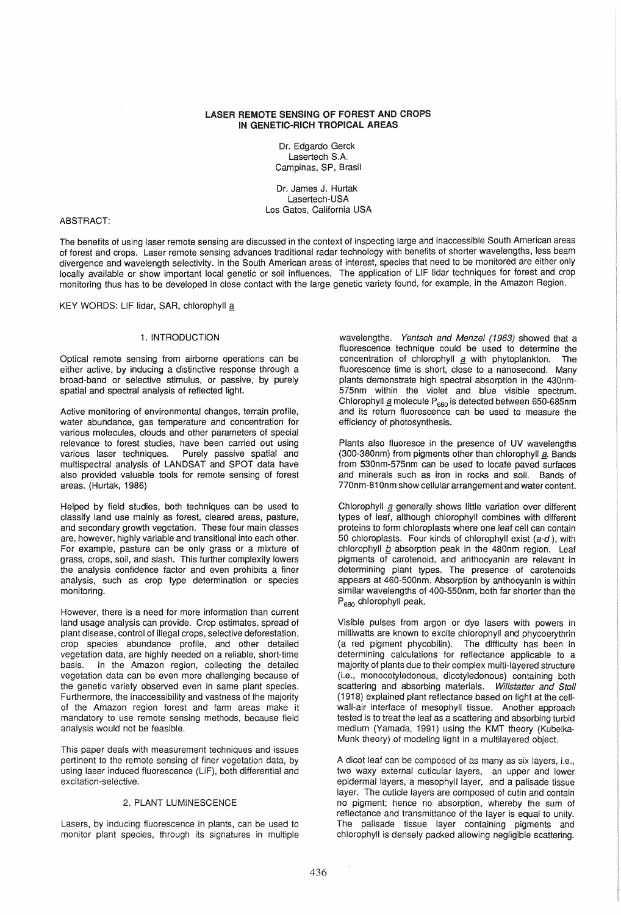## LASER REMOTE SENSING OF FOREST AND CROPS IN GENETIC-RICH TROPICAL AREAS

Dr. Edgardo Gerck Lasertech S.A. Campinas, SP, Brasil

Dr. James J. Hurtak Lasertech-USA Los Gatos, California USA

## ABSTRACT:

The benefits of using laser remote sensing are discussed in the context of inspecting large and inaccessible South American areas of forest and crops. Laser remote sensing advances traditional radar technology with benefits of shorter wavelengths, less beam divergence and wavelength selectivity. In the South American areas of interest, species that need to be monitored are either only locally available or show important local genetic or soil influences. The application of LlF lidar techniques for forest and crop monitoring thus has to be developed in close contact with the large genetic variety found, for example, in the Amazon Region.

KEY WORDS: LIF lidar, SAR, chlorophyll a

## 1. INTRODUCTION

Optical remote sensing from airborne operations can be either active, by inducing a distinctive response through a broad-band or selective stimulus, or passive, by purely spatial and spectral analysis of reflected light.

Active monitoring of environmental changes, terrain profile, water abundance, gas temperature and concentration for various molecules, clouds and other parameters of special relevance to forest studies, have been carried out using various laser techniques. Purely passive spatial and multispectral analysis of LANDSAT and SPOT data have also provided valuable tools for remote sensing of forest areas. (Hurtak, 1986)

Helped by field studies, both techniques can be used to classify land use mainly as forest, cleared areas, pasture, and secondary growth vegetation. These four main classes are, however, highly variable and transitional into each other. For example, pasture can be only grass or a mixture of grass, crops, soil, and slash. This further complexity lowers the analysis confidence factor and even prohibits a finer analysis, such as crop type determination or species monitoring.

However, there is a need for more information than current land usage analysis can provide. Crop estimates, spread of plant disease, control of illegal crops, selective deforestation, crop species abundance profile, and other detailed vegetation data, are highly needed on a reliable, short-time basis. In the Amazon region, collecting the detailed vegetation data can be even more challenging because of the genetic variety observed even in same plant species. Furthermore, the inaccessibility and vastness of the majority of the Amazon region forest and farm areas make it mandatory to use remote sensing methods, because field analysis would not be feasible.

This paper deals with measurement techniques and issues pertinent to the remote sensing of finer vegetation data, by using laser induced fluorescence (LlF), both differential and excitation-selective.

# 2. PLANT LUMINESCENCE

Lasers, by inducing fluorescence in plants, can be used to monitor plant species, through its signatures in multiple wavelengths. Yentsch and Menzel (1963) showed that a fluorescence technique could be used to determine the concentration of chlorophyll  $a$  with phytoplankton. The fluorescence time is short, close to a nanosecond. Many plants demonstrate high spectral absorption in the 430nm-575nm within the violet and blue visible spectrum. Chlorophyll  $\mathbf g$  molecule P<sub>680</sub> is detected between 650-685nm and its return fluorescence can be used to measure the efficiency of photosynthesis.

Plants also fluoresce in the presence of UV wavelengths  $(300-380$ nm) from pigments other than chlorophyll  $a$ . Bands from 530nm-575nm can be used to locate paved surfaces and minerals such as iron in rocks and soil. Bands of 770nm-81 Onm show cellular arrangement and water content.

Chlorophyll a generally shows little variation over different types of leaf, although chlorophyll combines with different proteins to form chloroplasts where one leaf cell can contain 50 chloroplasts. Four kinds of chlorophyll exist  $(a-d)$ , with chlorophyll  $b$  absorption peak in the 480nm region. Leaf pigments of carotenoid, and anthocyanin are relevant in determining plant types. The presence of carotenoids appears at 460-500nm. Absorption by anthocyanin is within similar wavelengths of 400-550nm, both far shorter than the P<sub>680</sub> chlorophyll peak.

Visible pulses from argon or dye lasers with powers in milliwatts are known to excite chlorophyll and phycoerythrin (a red pigment phycobilin). The difficulty has been in determining calculations for reflectance applicable to a majority of plants due to their complex multi-layered structure (Le., monocotyledonous, dicotyledonous) containing both scattering and absorbing materials. Willstatter and Stoll (1918) explained plant reflectance based on light at the cellwall-air interface of mesophyll tissue. Another approach tested is to treat the leaf as a scattering and absorbing turbid medium (Yamada, 1991) using the KMT theory (Kubelka-Munk theory) of modeling light in a multilayered object.

A dicot leaf can be composed of as many as six layers, i.e., two waxy external cuticular layers, an upper and lower epidermal layers, a mesophyll layer, and a palisade tissue layer. The cuticle layers are composed of cutin and contain no pigment; hence no absorption, whereby the sum of reflectance and transmittance of the layer is equal to unity. The palisade tissue layer containing pigments and chlorophyll is densely packed allowing negligible scattering.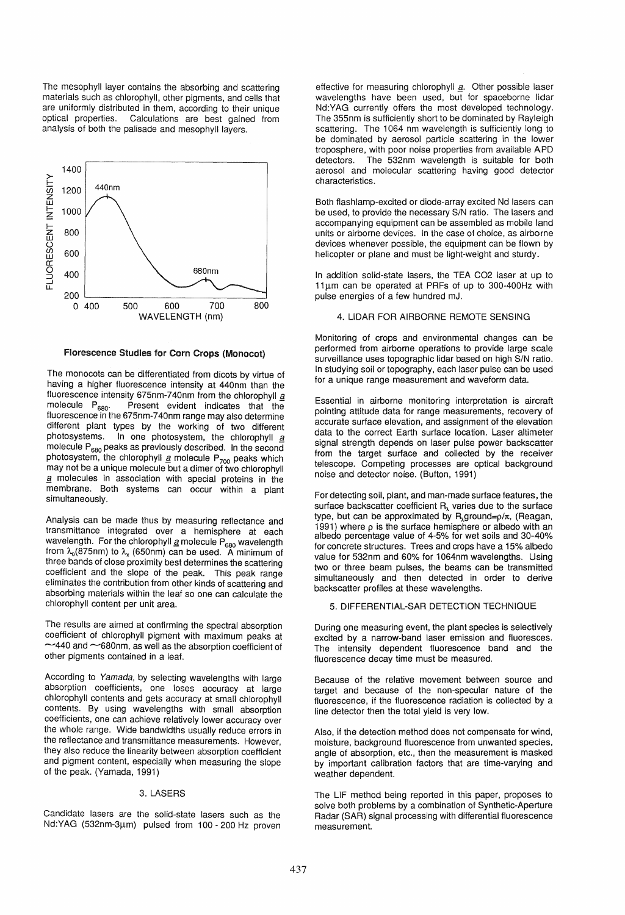The mesophyll layer contains the absorbing and scattering materials such as chlorophyll, other pigments, and cells that are uniformly distributed in them, according to their unique optical properties. Calculations are best gained from analysis of both the palisade and mesophyll layers.



#### Florescence Studies for Corn Crops (Monocot)

The monocots can be differentiated from dicots by virtue of having a higher fluorescence intensity at 440nm than the fluorescence intensity 675nm-740nm from the chlorophyll  $\underline{a}$ <br>molecule  $P_{\text{can}}$ . Present evident indicates that the Present evident indicates that the fluorescence in the 675nm-740nm range may also determine different plant types by the working of two different photosystems. In one photosystem, the chlorophyll a In one photosystem, the chlorophyll  $\overline{a}$ molecule  $P_{680}$  peaks as previously described. In the second photosystem, the chlorophyll  $g$  molecule  $P_{700}$  peaks which may not be a unique molecule but a dimer of two chlorophyll  $\overline{a}$  molecules in association with special proteins in the membrane. Both systems can occur within a plant simultaneously.

Analysis can be made thus by measuring reflectance and transmittance integrated over a hemisphere at each wavelength. For the chlorophyll  $\underline{a}$  molecule P<sub>680</sub> wavelength from  $\lambda_0$ (875nm) to  $\lambda_x$  (650nm) can be used. A minimum of three bands of close proximity best determines the scattering coefficient and the slope of the peak. This peak range eliminates the contribution from other kinds of scattering and absorbing materials within the leaf so one can calculate the chlorophyll content per unit area.

The results are aimed at confirming the spectral absorption coefficient of chlorophyll pigment with maximum peaks at  $\sim$ 440 and  $\sim$ 680nm, as well as the absorption coefficient of other pigments contained in a leaf.

According to Yamada, by selecting wavelengths with large absorption coefficients, one loses accuracy at large chlorophyll contents and gets accuracy at small chlorophyll contents. By using wavelengths with small absorption coefficients, one can achieve relatively lower accuracy over the whole range. Wide bandwidths usually reduce errors in the reflectance and transmittance measurements. However, they also reduce the linearity between absorption coefficient and pigment content, especially when measuring the slope of the peak. (Yamada, 1991)

#### 3. LASERS

Candidate lasers are the solid-state lasers such as the Nd:YAG (532nm-3µm) pulsed from 100 - 200 Hz proven effective for measuring chlorophyll a. Other possible laser wavelengths have been used, but for spaceborne lidar Nd:YAG currently offers the most developed technology. The 355nm is sufficiently short to be dominated by Rayleigh scattering. The 1064 nm wavelength is sufficiently long to be dominated by aerosol particle scattering in the lower troposphere, with poor noise properties from available APD detectors. The 532nm wavelength is suitable for both aerosol and molecular scattering having good detector characteristics.

Both flashlamp-excited or diode-array excited Nd lasers can be used, to provide the necessary S/N ratio. The lasers and accompanying equipment can be assembled as mobile land units or airborne devices. In the case of choice, as airborne devices whenever possible, the equipment can be flown by helicopter or plane and must be light-weight and sturdy.

In addition solid-state lasers, the TEA C02 laser at up to 11um can be operated at PRFs of up to 300-400Hz with pulse energies of a few hundred mJ.

## 4. LlDAR FOR AIRBORNE REMOTE SENSING

Monitoring of crops and environmental changes can be performed from airborne operations to provide large scale surveillance uses topographic lidar based on high S/N ratio. In studying soil or topography, each laser pulse can be used for a unique range measurement and waveform data.

Essential in airborne monitoring interpretation is aircraft pointing attitude data for range measurements, recovery of accurate surface elevation, and assignment of the elevation data to the correct Earth surface location. Laser altimeter signal strength depends on laser pulse power backscatter from the target surface and collected by the receiver telescope. Competing processes are optical background noise and detector noise. (Button, 1991)

For detecting soil, plant, and man-made surface features, the surface backscatter coefficient  $R<sub>1</sub>$  varies due to the surface type, but can be approximated by R<sub>1</sub>ground= $\rho/\pi$ , (Reagan, 1991) where  $\rho$  is the surface hemisphere or albedo with an albedo percentage value of 4-5% for wet soils and 30-40% for concrete structures. Trees and crops have a 15% albedo value for 532nm and 60% for 1064nm wavelengths. Using two or three beam pulses, the beams can be transmitted simultaneously and then detected in order to derive backscatter profiles at these wavelengths.

## 5. DIFFERENTIAL-SAR DETECTION TECHNIQUE

During one measuring event, the plant species is selectively excited by a narrow-band laser emission and fluoresces. The intensity dependent fluorescence band and the fluorescence decay time must be measured.

Because of the relative movement between source and target and because of the non-specular nature of the fluorescence, if the fluorescence radiation is collected by a line detector then the total yield is very low.

Also, if the detection method does not compensate for wind, moisture, background fluorescence from unwanted species, angle of absorption, etc., then the measurement is masked by important calibration factors that are time-varying and weather dependent.

The LlF method being reported in this paper, proposes to solve both problems by a combination of Synthetic-Aperture Radar (SAR) signal processing with differential fluorescence measurement.